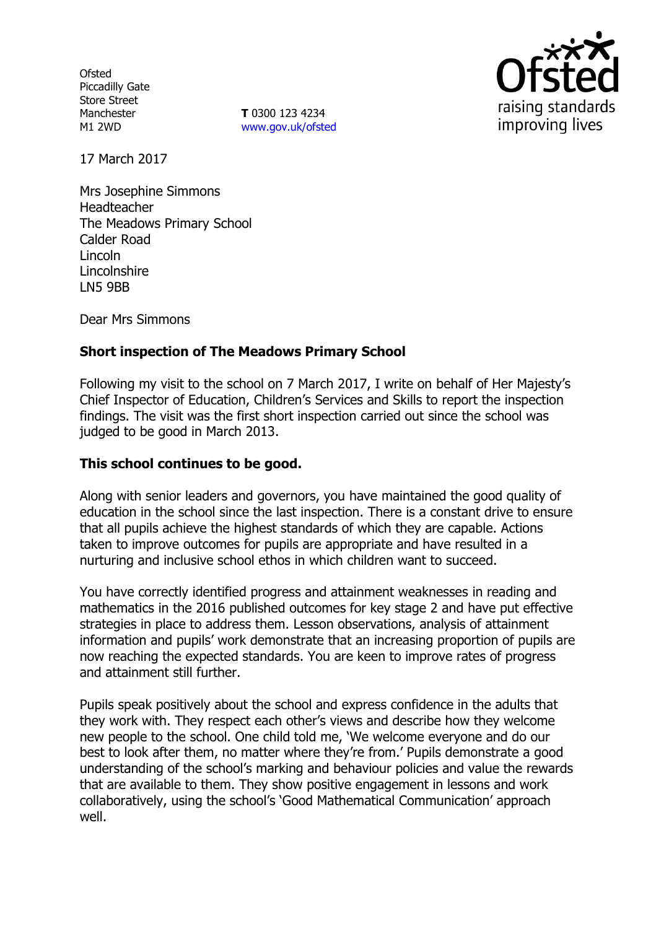**Ofsted** Piccadilly Gate Store Street Manchester M1 2WD

**T** 0300 123 4234 www.gov.uk/ofsted



17 March 2017

Mrs Josephine Simmons Headteacher The Meadows Primary School Calder Road Lincoln Lincolnshire LN5 9BB

Dear Mrs Simmons

# **Short inspection of The Meadows Primary School**

Following my visit to the school on 7 March 2017, I write on behalf of Her Majesty's Chief Inspector of Education, Children's Services and Skills to report the inspection findings. The visit was the first short inspection carried out since the school was judged to be good in March 2013.

### **This school continues to be good.**

Along with senior leaders and governors, you have maintained the good quality of education in the school since the last inspection. There is a constant drive to ensure that all pupils achieve the highest standards of which they are capable. Actions taken to improve outcomes for pupils are appropriate and have resulted in a nurturing and inclusive school ethos in which children want to succeed.

You have correctly identified progress and attainment weaknesses in reading and mathematics in the 2016 published outcomes for key stage 2 and have put effective strategies in place to address them. Lesson observations, analysis of attainment information and pupils' work demonstrate that an increasing proportion of pupils are now reaching the expected standards. You are keen to improve rates of progress and attainment still further.

Pupils speak positively about the school and express confidence in the adults that they work with. They respect each other's views and describe how they welcome new people to the school. One child told me, 'We welcome everyone and do our best to look after them, no matter where they're from.' Pupils demonstrate a good understanding of the school's marking and behaviour policies and value the rewards that are available to them. They show positive engagement in lessons and work collaboratively, using the school's 'Good Mathematical Communication' approach well.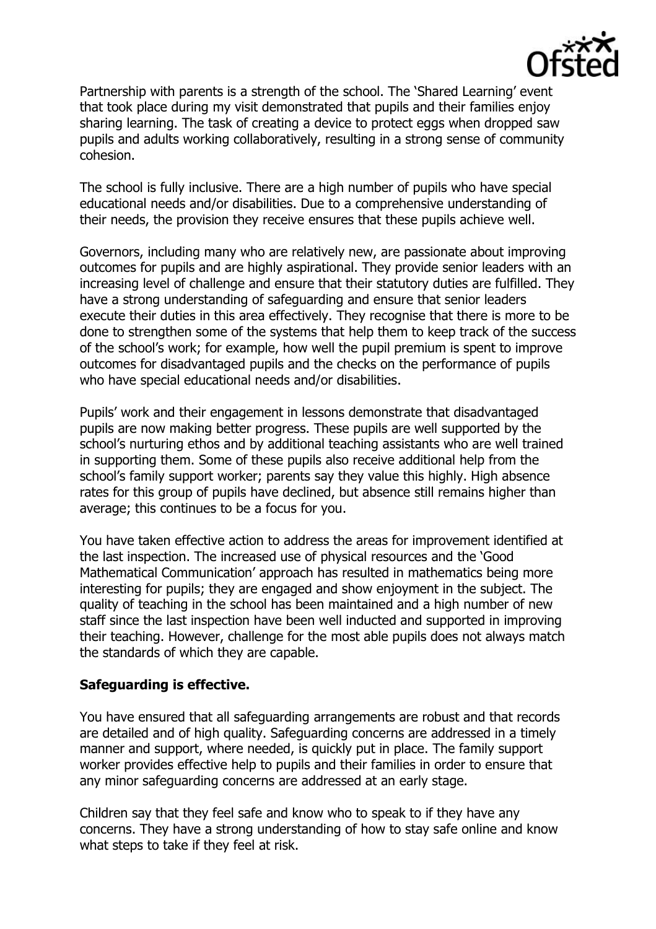

Partnership with parents is a strength of the school. The 'Shared Learning' event that took place during my visit demonstrated that pupils and their families enjoy sharing learning. The task of creating a device to protect eggs when dropped saw pupils and adults working collaboratively, resulting in a strong sense of community cohesion.

The school is fully inclusive. There are a high number of pupils who have special educational needs and/or disabilities. Due to a comprehensive understanding of their needs, the provision they receive ensures that these pupils achieve well.

Governors, including many who are relatively new, are passionate about improving outcomes for pupils and are highly aspirational. They provide senior leaders with an increasing level of challenge and ensure that their statutory duties are fulfilled. They have a strong understanding of safeguarding and ensure that senior leaders execute their duties in this area effectively. They recognise that there is more to be done to strengthen some of the systems that help them to keep track of the success of the school's work; for example, how well the pupil premium is spent to improve outcomes for disadvantaged pupils and the checks on the performance of pupils who have special educational needs and/or disabilities.

Pupils' work and their engagement in lessons demonstrate that disadvantaged pupils are now making better progress. These pupils are well supported by the school's nurturing ethos and by additional teaching assistants who are well trained in supporting them. Some of these pupils also receive additional help from the school's family support worker; parents say they value this highly. High absence rates for this group of pupils have declined, but absence still remains higher than average; this continues to be a focus for you.

You have taken effective action to address the areas for improvement identified at the last inspection. The increased use of physical resources and the 'Good Mathematical Communication' approach has resulted in mathematics being more interesting for pupils; they are engaged and show enjoyment in the subject. The quality of teaching in the school has been maintained and a high number of new staff since the last inspection have been well inducted and supported in improving their teaching. However, challenge for the most able pupils does not always match the standards of which they are capable.

#### **Safeguarding is effective.**

You have ensured that all safeguarding arrangements are robust and that records are detailed and of high quality. Safeguarding concerns are addressed in a timely manner and support, where needed, is quickly put in place. The family support worker provides effective help to pupils and their families in order to ensure that any minor safeguarding concerns are addressed at an early stage.

Children say that they feel safe and know who to speak to if they have any concerns. They have a strong understanding of how to stay safe online and know what steps to take if they feel at risk.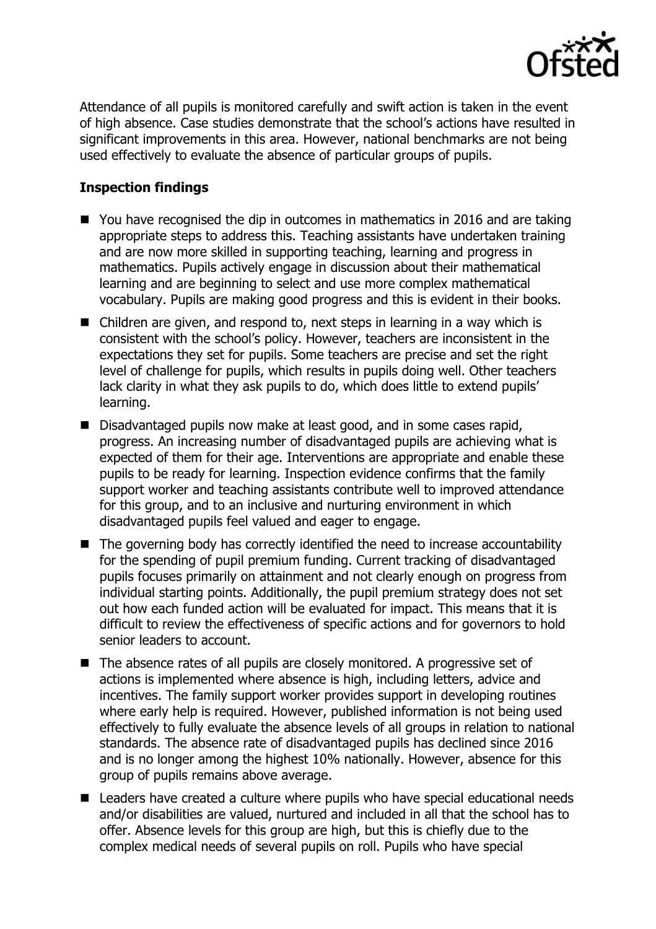

Attendance of all pupils is monitored carefully and swift action is taken in the event of high absence. Case studies demonstrate that the school's actions have resulted in significant improvements in this area. However, national benchmarks are not being used effectively to evaluate the absence of particular groups of pupils.

## **Inspection findings**

- You have recognised the dip in outcomes in mathematics in 2016 and are taking appropriate steps to address this. Teaching assistants have undertaken training and are now more skilled in supporting teaching, learning and progress in mathematics. Pupils actively engage in discussion about their mathematical learning and are beginning to select and use more complex mathematical vocabulary. Pupils are making good progress and this is evident in their books.
- Children are given, and respond to, next steps in learning in a way which is consistent with the school's policy. However, teachers are inconsistent in the expectations they set for pupils. Some teachers are precise and set the right level of challenge for pupils, which results in pupils doing well. Other teachers lack clarity in what they ask pupils to do, which does little to extend pupils' learning.
- Disadvantaged pupils now make at least good, and in some cases rapid, progress. An increasing number of disadvantaged pupils are achieving what is expected of them for their age. Interventions are appropriate and enable these pupils to be ready for learning. Inspection evidence confirms that the family support worker and teaching assistants contribute well to improved attendance for this group, and to an inclusive and nurturing environment in which disadvantaged pupils feel valued and eager to engage.
- $\blacksquare$  The governing body has correctly identified the need to increase accountability for the spending of pupil premium funding. Current tracking of disadvantaged pupils focuses primarily on attainment and not clearly enough on progress from individual starting points. Additionally, the pupil premium strategy does not set out how each funded action will be evaluated for impact. This means that it is difficult to review the effectiveness of specific actions and for governors to hold senior leaders to account.
- The absence rates of all pupils are closely monitored. A progressive set of actions is implemented where absence is high, including letters, advice and incentives. The family support worker provides support in developing routines where early help is required. However, published information is not being used effectively to fully evaluate the absence levels of all groups in relation to national standards. The absence rate of disadvantaged pupils has declined since 2016 and is no longer among the highest 10% nationally. However, absence for this group of pupils remains above average.
- Leaders have created a culture where pupils who have special educational needs and/or disabilities are valued, nurtured and included in all that the school has to offer. Absence levels for this group are high, but this is chiefly due to the complex medical needs of several pupils on roll. Pupils who have special